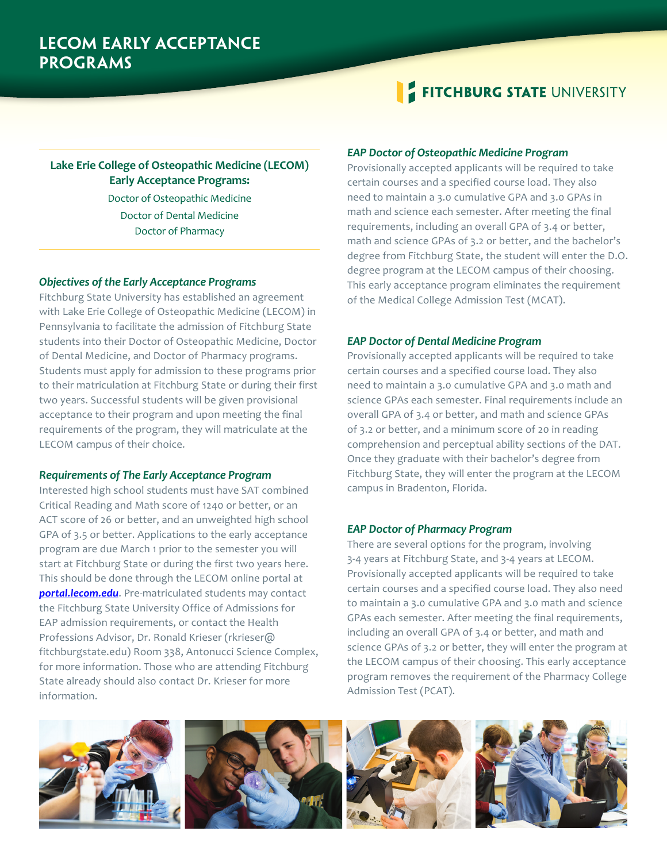# **FITCHBURG STATE UNIVERSITY**

# **Lake Erie College of Osteopathic Medicine (LECOM) Early Acceptance Programs:**

Doctor of Osteopathic Medicine Doctor of Dental Medicine Doctor of Pharmacy

### *Objectives of the Early Acceptance Programs*

Fitchburg State University has established an agreement with Lake Erie College of Osteopathic Medicine (LECOM) in Pennsylvania to facilitate the admission of Fitchburg State students into their Doctor of Osteopathic Medicine, Doctor of Dental Medicine, and Doctor of Pharmacy programs. Students must apply for admission to these programs prior to their matriculation at Fitchburg State or during their first two years. Successful students will be given provisional acceptance to their program and upon meeting the final requirements of the program, they will matriculate at the LECOM campus of their choice.

#### *Requirements of The Early Acceptance Program*

Interested high school students must have SAT combined Critical Reading and Math score of 1240 or better, or an ACT score of 26 or better, and an unweighted high school GPA of 3.5 or better. Applications to the early acceptance program are due March 1 prior to the semester you will start at Fitchburg State or during the first two years here. This should be done through the LECOM online portal at *portal.lecom.edu*. Pre-matriculated students may contact the Fitchburg State University Office of Admissions for EAP admission requirements, or contact the Health Professions Advisor, Dr. Ronald Krieser (rkrieser@ fitchburgstate.edu) Room 338, Antonucci Science Complex, for more information. Those who are attending Fitchburg State already should also contact Dr. Krieser for more information.

# *EAP Doctor of Osteopathic Medicine Program*

Provisionally accepted applicants will be required to take certain courses and a specified course load. They also need to maintain a 3.0 cumulative GPA and 3.0 GPAs in math and science each semester. After meeting the final requirements, including an overall GPA of 3.4 or better, math and science GPAs of 3.2 or better, and the bachelor's degree from Fitchburg State, the student will enter the D.O. degree program at the LECOM campus of their choosing. This early acceptance program eliminates the requirement of the Medical College Admission Test (MCAT).

#### *EAP Doctor of Dental Medicine Program*

Provisionally accepted applicants will be required to take certain courses and a specified course load. They also need to maintain a 3.0 cumulative GPA and 3.0 math and science GPAs each semester. Final requirements include an overall GPA of 3.4 or better, and math and science GPAs of 3.2 or better, and a minimum score of 20 in reading comprehension and perceptual ability sections of the DAT. Once they graduate with their bachelor's degree from Fitchburg State, they will enter the program at the LECOM campus in Bradenton, Florida.

#### *EAP Doctor of Pharmacy Program*

There are several options for the program, involving 3-4 years at Fitchburg State, and 3-4 years at LECOM. Provisionally accepted applicants will be required to take certain courses and a specified course load. They also need to maintain a 3.0 cumulative GPA and 3.0 math and science GPAs each semester. After meeting the final requirements, including an overall GPA of 3.4 or better, and math and science GPAs of 3.2 or better, they will enter the program at the LECOM campus of their choosing. This early acceptance program removes the requirement of the Pharmacy College Admission Test (PCAT).